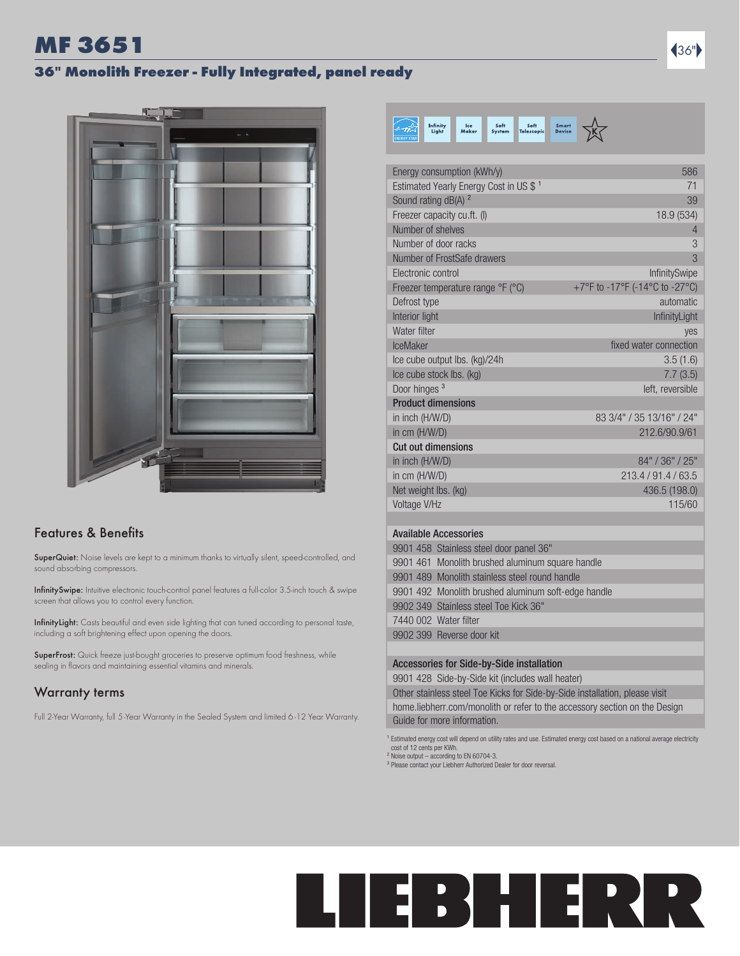### MF 3651  $\blacksquare$

#### 36" Monolith Freezer - Fully Integrated, panel ready



#### Features & Benefits

SuperQuiet: Noise levels are kept to a minimum thanks to virtually silent, speed-controlled, and sound absorbing compressors.

InfinitySwipe: Intuitive electronic touch-control panel features a full-color 3.5-inch touch & swipe screen that allows you to control every function.

InfinityLight: Casts beautiful and even side lighting that can tuned according to personal taste, including a soft brightening effect upon opening the doors.

SuperFrost: Quick freeze just-bought groceries to preserve optimum food freshness, while sealing in flavors and maintaining essential vitamins and minerals.

#### Warranty terms

Full 2-Year Warranty, full 5-Year Warranty in the Sealed System and limited 6 -12 Year Warranty.

| Infinity<br>Soft<br>Soft<br>Ice<br>Light<br>Maker<br><b>System</b><br><b>Telescopic</b> | <b>Smart</b><br><b>Device</b>  |
|-----------------------------------------------------------------------------------------|--------------------------------|
|                                                                                         |                                |
| Energy consumption (kWh/y)                                                              | 586                            |
| Estimated Yearly Energy Cost in US \$ <sup>1</sup>                                      | 71                             |
| Sound rating dB(A) <sup>2</sup>                                                         | 39                             |
| Freezer capacity cu.ft. (I)                                                             | 18.9 (534)                     |
| Number of shelves                                                                       | 4                              |
| Number of door racks                                                                    | 3                              |
| Number of FrostSafe drawers                                                             | 3                              |
| Electronic control                                                                      | <b>InfinitySwipe</b>           |
| Freezer temperature range ${}^{\circ}$ F ( ${}^{\circ}$ C)                              | +7°F to -17°F (-14°C to -27°C) |
| Defrost type                                                                            | automatic                      |
| Interior light                                                                          | InfinityLight                  |
| Water filter                                                                            | ves                            |
| <b>IceMaker</b>                                                                         | fixed water connection         |
| Ice cube output Ibs. (kg)/24h                                                           | 3.5(1.6)                       |
| Ice cube stock Ibs. (kg)                                                                | 7.7(3.5)                       |
| Door hinges <sup>3</sup>                                                                | left, reversible               |
| <b>Product dimensions</b>                                                               |                                |
| in inch (H/W/D)                                                                         | 83 3/4" / 35 13/16" / 24"      |
| in cm (H/W/D)                                                                           | 212.6/90.9/61                  |
| Cut out dimensions                                                                      |                                |
| in inch (H/W/D)                                                                         | 84" / 36" / 25"                |
| in cm (H/W/D)                                                                           | 213.4/91.4/63.5                |
| Net weight lbs. (kg)                                                                    | 436.5 (198.0)                  |
| Voltage V/Hz                                                                            | 115/60                         |
| <b>Available Accessories</b>                                                            |                                |
| 9901 458 Stainless steel door panel 36"                                                 |                                |
| 9901 461 Monolith brushed aluminum square handle                                        |                                |
|                                                                                         |                                |

9901 489 Monolith stainless steel round handle 9901 492 Monolith brushed aluminum soft-edge handle 9902 349 Stainless steel Toe Kick 36" 7440 002 Water filter 9902 399 Reverse door kit

#### Accessories for Side-by-Side installation

9901 428 Side-by-Side kit (includes wall heater)

Other stainless steel Toe Kicks for Side-by-Side installation, please visit home.liebherr.com/monolith or refer to the accessory section on the Design Guide for more information.

<sup>1</sup> Estimated energy cost will depend on utility rates and use. Estimated energy cost based on a national average electricity cost of 12 cents per KWh. ² Noise output – according to EN 60704-3.

<sup>3</sup> Please contact your Liebherr Authorized Dealer for door reversal.